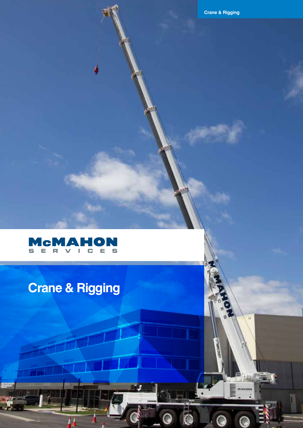٧À



# **Crane & Rigging**